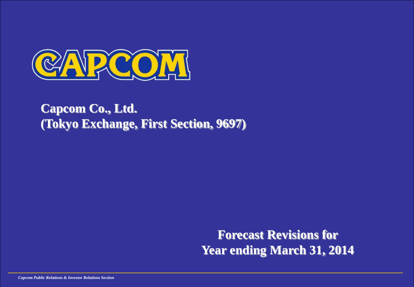

## **Capcom Co., Ltd. (Tokyo Exchange, First Section, 9697)**

**Forecast Revisions for Year ending March 31, 2014**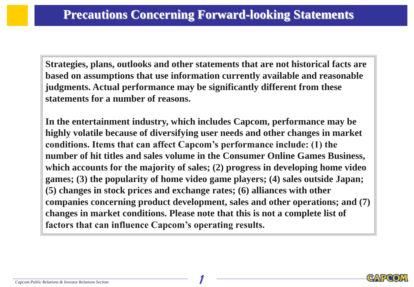**Strategies, plans, outlooks and other statements that are not historical facts are based on assumptions that use information currently available and reasonable judgments. Actual performance may be significantly different from these statements for a number of reasons.**

**In the entertainment industry, which includes Capcom, performance may be highly volatile because of diversifying user needs and other changes in market conditions. Items that can affect Capcom's performance include: (1) the number of hit titles and sales volume in the Consumer Online Games Business, which accounts for the majority of sales; (2) progress in developing home video games; (3) the popularity of home video game players; (4) sales outside Japan; (5) changes in stock prices and exchange rates; (6) alliances with other companies concerning product development, sales and other operations; and (7) changes in market conditions. Please note that this is not a complete list of factors that can influence Capcom's operating results.**

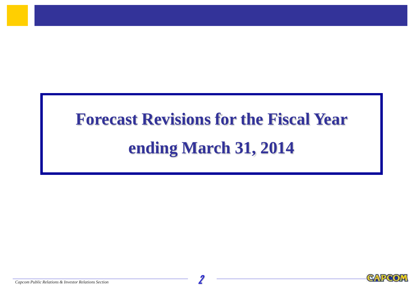# **Forecast Revisions for the Fiscal Year ending March 31, 2014**

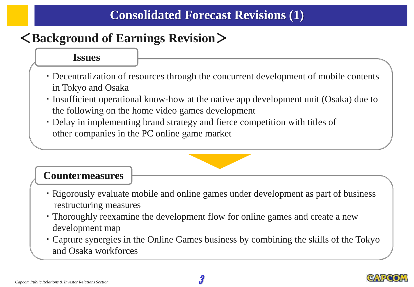## <**Background of Earnings Revision**>

#### **Issues**

- ・ Decentralization of resources through the concurrent development of mobile contents in Tokyo and Osaka
- ・ Insufficient operational know-how at the native app development unit (Osaka) due to the following on the home video games development
- ・ Delay in implementing brand strategy and fierce competition with titles of other companies in the PC online game market

#### **Countermeasures**

- ・ Rigorously evaluate mobile and online games under development as part of business restructuring measures
- ・ Thoroughly reexamine the development flow for online games and create a new development map
- ・ Capture synergies in the Online Games business by combining the skills of the Tokyo and Osaka workforces

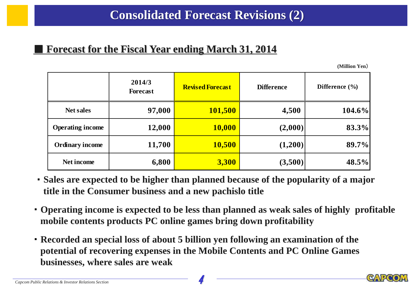#### **Forecast for the Fiscal Year ending March 31, 2014**

**(Million Yen**)

|                         | 2014/3<br><b>Forecast</b> | <b>Revised Forecast</b> | <b>Difference</b> | Difference $(\% )$ |
|-------------------------|---------------------------|-------------------------|-------------------|--------------------|
| <b>Net sales</b>        | 97,000                    | <b>101,500</b>          | 4,500             | $104.6\%$          |
| <b>Operating income</b> | 12,000                    | <b>10,000</b>           | (2,000)           | 83.3%              |
| <b>Ordinary income</b>  | 11,700                    | <b>10,500</b>           | (1,200)           | 89.7%              |
| Net income              | 6,800                     | 3,300                   | (3,500)           | 48.5%              |

- ・ **Sales are expected to be higher than planned because of the popularity of a major title in the Consumer business and a new pachislo title**
- ・ **Operating income is expected to be less than planned as weak sales of highly profitable mobile contents products PC online games bring down profitability**
- ・ **Recorded an special loss of about 5 billion yen following an examination of the potential of recovering expenses in the Mobile Contents and PC Online Games businesses, where sales are weak**

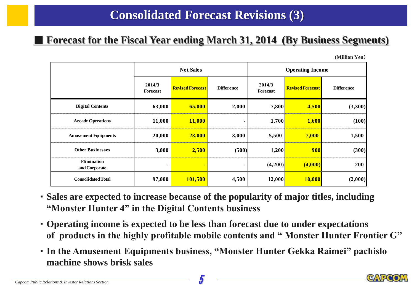#### ■ **Forecast for the Fiscal Year ending March 31, 2014 (By Business Segments)**

**(Million Yen**)

|                                     | <b>Net Sales</b>   |                         |                   | <b>Operating Income</b> |                         |                   |
|-------------------------------------|--------------------|-------------------------|-------------------|-------------------------|-------------------------|-------------------|
|                                     | 2014/3<br>Forecast | <b>Revised Forecast</b> | <b>Difference</b> | 2014/3<br>Forecast      | <b>Revised Forecast</b> | <b>Difference</b> |
| <b>Digital Contents</b>             | 63,000             | 65,000                  | 2,000             | 7,800                   | 4,500                   | (3,300)           |
| <b>Arcade Operations</b>            | 11,000             | 11,000                  |                   | 1,700                   | 1,600                   | (100)             |
| <b>Amusement Equipments</b>         | 20,000             | 23,000                  | 3,000             | 5,500                   | 7,000                   | 1,500             |
| <b>Other Businesses</b>             | 3,000              | 2,500                   | (500)             | 1,200                   | 900                     | (300)             |
| <b>Elimination</b><br>and Corporate | ۰                  | ٠                       | ۰                 | (4,200)                 | (4,000)                 | 200               |
| <b>Consolidated Total</b>           | 97,000             | 101,500                 | 4,500             | 12,000                  | <b>10,000</b>           | (2,000)           |

- ・ **Sales are expected to increase because of the popularity of major titles, including "Monster Hunter 4" in the Digital Contents business**
- ・ **Operating income is expected to be less than forecast due to under expectations of products in the highly profitable mobile contents and " Monster Hunter Frontier G"**
- ・ **In the Amusement Equipments business, "Monster Hunter Gekka Raimei" pachislo machine shows brisk sales**